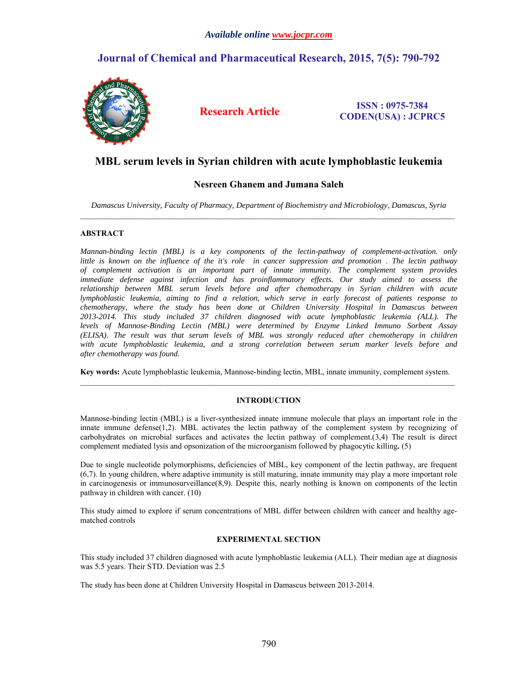# **Journal of Chemical and Pharmaceutical Research, 2015, 7(5): 790-792**



**Research Article ISSN : 0975-7384 CODEN(USA) : JCPRC5**

# **MBL serum levels in Syrian children with acute lymphoblastic leukemia**

# **Nesreen Ghanem and Jumana Saleh**

*Damascus University, Faculty of Pharmacy, Department of Biochemistry and Microbiology, Damascus, Syria*

# **ABSTRACT**

*Mannan-binding lectin (MBL) is a key components of the lectin-pathway of complement-activation. only little is known on the influence of the it's role in cancer suppression and promotion. The lectin pathway of complement activation is an important part of innate immunity. The complement system provides immediate defense against infection and has proinflammatory effects. Our study aimed to assess the relationship between MBL serum levels before and after chemotherapy in Syrian children with acute lymphoblastic leukemia, aiming to find a relation, which serve in early forecast of patients response to chemotherapy, where the study has been done at Children University Hospital in Damascus between 2013-2014. This study included 37 children diagnosed with acute lymphoblastic leukemia (ALL). The levels of Mannose-Binding Lectin (MBL) were determined by Enzyme Linked Immuno Sorbent Assay (ELISA). The result was that serum levels of MBL was strongly reduced after chemotherapy in children with acute lymphoblastic leukemia, and a strong correlation between serum marker levels before and after chemotherapy was found.*

**Key words:** Acute lymphoblastic leukemia, Mannose-binding lectin, MBL, innate immunity, complement system.  $\mathcal{L}_\mathcal{L} = \mathcal{L}_\mathcal{L}$ 

# **INTRODUCTION**

Mannose-binding lectin (MBL) is a liver-synthesized innate immune molecule that plays an important role in the innate immune defense(1,2). MBL activates the lectin pathway of the complement system by recognizing of carbohydrates on microbial surfaces and activates the lectin pathway of complement.(3,4) The result is direct complement mediated lysis and opsonization of the microorganism followed by phagocytic killing**.** (5)

Due to single nucleotide polymorphisms, deficiencies of MBL, key component of the lectin pathway, are frequent (6,7). In young children, where adaptive immunity is still maturing, innate immunity may play a more important role in carcinogenesis or immunosurveillance(8,9). Despite this, nearly nothing is known on components of the lectin pathway in children with cancer. (10)

This study aimed to explore if serum concentrations of MBL differ between children with cancer and healthy agematched controls

## **EXPERIMENTAL SECTION**

This study included 37 children diagnosed with acute lymphoblastic leukemia (ALL). Their median age at diagnosis was 5.5 years. Their STD. Deviation was 2.5

The study has been done at Children University Hospital in Damascus between 2013-2014.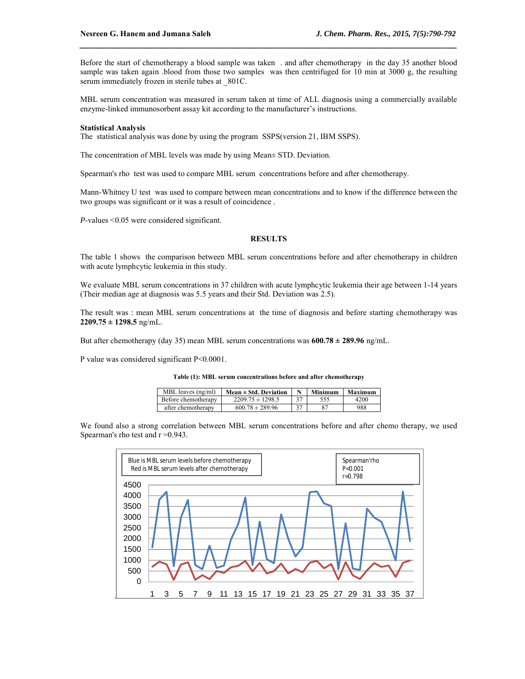Before the start of chemotherapy a blood sample was taken . and after chemotherapy in the day 35 another blood sample was taken again .blood from those two samples was then centrifuged for 10 min at 3000 g, the resulting serum immediately frozen in sterile tubes at 801C.

*\_\_\_\_\_\_\_\_\_\_\_\_\_\_\_\_\_\_\_\_\_\_\_\_\_\_\_\_\_\_\_\_\_\_\_\_\_\_\_\_\_\_\_\_\_\_\_\_\_\_\_\_\_\_\_\_\_\_\_\_\_\_\_\_\_\_\_\_\_\_\_\_\_\_\_\_\_\_*

MBL serum concentration was measured in serum taken at time of ALL diagnosis using a commercially available enzyme-linked immunosorbent assay kit according to the manufacturer's instructions.

#### **Statistical Analysis**

The statistical analysis was done by using the program SSPS(version 21, IBM SSPS).

The concentration of MBL levels was made by using Mean± STD. Deviation.

Spearman's rho test was used to compare MBL serum concentrations before and after chemotherapy.

Mann-Whitney U test was used to compare between mean concentrations and to know if the difference between the two groups was significant or it was a result of coincidence .

*P*-values <0.05 were considered significant.

## **RESULTS**

The table 1 shows the comparison between MBL serum concentrations before and after chemotherapy in children with acute lymphcytic leukemia in this study.

We evaluate MBL serum concentrations in 37 children with acute lymphcytic leukemia their age between 1-14 years (Their median age at diagnosis was 5.5 years and their Std. Deviation was 2.5).

The result was : mean MBL serum concentrations at the time of diagnosis and before starting chemotherapy was **2209.75 ± 1298.5** ng/mL.

But after chemotherapy (day 35) mean MBL serum concentrations was **600.78 ± 289.96** ng/mL.

P value was considered significant P<0.0001.

**Table (1): MBL serum concentrations before and after chemotherapy**

| MBL leaves $(ng/ml)$ | Mean $\pm$ Std. Deviation |    | Minimum | Maximum |
|----------------------|---------------------------|----|---------|---------|
| Before chemotherapy  | $2209.75 \pm 1298.5$      | 37 |         | 4200    |
| after chemotherapy   | $600.78 \pm 289.96$       | 37 | 87      | 988     |

We found also a strong correlation between MBL serum concentrations before and after chemo therapy, we used Spearman's rho test and  $r = 0.943$ .